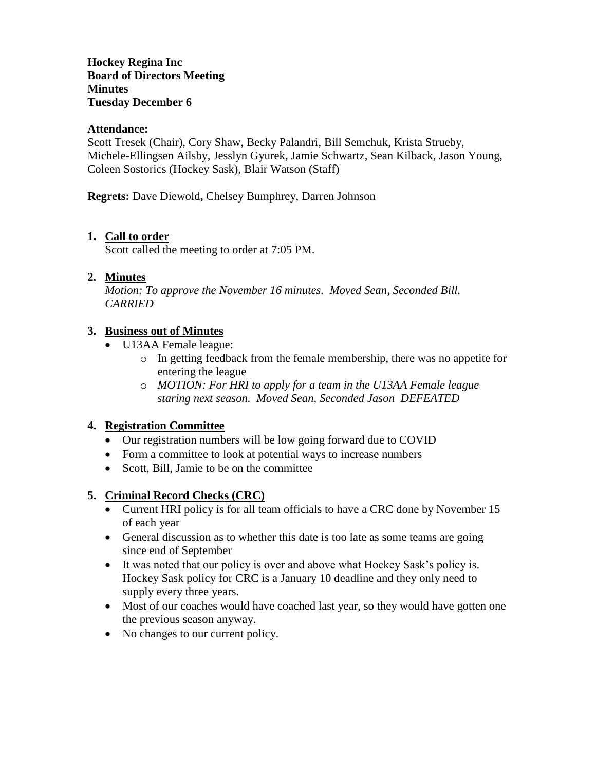**Hockey Regina Inc Board of Directors Meeting Minutes Tuesday December 6**

#### **Attendance:**

Scott Tresek (Chair), Cory Shaw, Becky Palandri, Bill Semchuk, Krista Strueby, Michele-Ellingsen Ailsby, Jesslyn Gyurek, Jamie Schwartz, Sean Kilback, Jason Young, Coleen Sostorics (Hockey Sask), Blair Watson (Staff)

**Regrets:** Dave Diewold**,** Chelsey Bumphrey, Darren Johnson

#### **1. Call to order**

Scott called the meeting to order at 7:05 PM.

#### **2. Minutes**

*Motion: To approve the November 16 minutes. Moved Sean, Seconded Bill. CARRIED*

#### **3. Business out of Minutes**

- U13AA Female league:
	- o In getting feedback from the female membership, there was no appetite for entering the league
	- o *MOTION: For HRI to apply for a team in the U13AA Female league staring next season. Moved Sean, Seconded Jason DEFEATED*

### **4. Registration Committee**

- Our registration numbers will be low going forward due to COVID
- Form a committee to look at potential ways to increase numbers
- Scott, Bill, Jamie to be on the committee

### **5. Criminal Record Checks (CRC)**

- Current HRI policy is for all team officials to have a CRC done by November 15 of each year
- General discussion as to whether this date is too late as some teams are going since end of September
- It was noted that our policy is over and above what Hockey Sask's policy is. Hockey Sask policy for CRC is a January 10 deadline and they only need to supply every three years.
- Most of our coaches would have coached last year, so they would have gotten one the previous season anyway.
- No changes to our current policy.